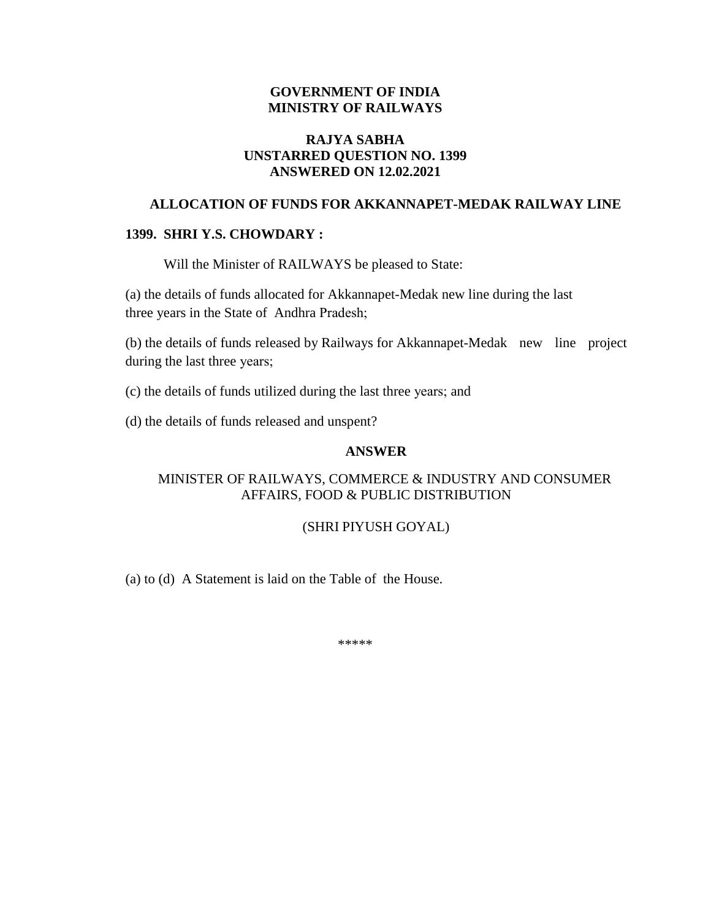### **GOVERNMENT OF INDIA MINISTRY OF RAILWAYS**

## **RAJYA SABHA UNSTARRED QUESTION NO. 1399 ANSWERED ON 12.02.2021**

## **ALLOCATION OF FUNDS FOR AKKANNAPET-MEDAK RAILWAY LINE**

#### **1399. SHRI Y.S. CHOWDARY :**

Will the Minister of RAILWAYS be pleased to State:

(a) the details of funds allocated for Akkannapet-Medak new line during the last three years in the State of Andhra Pradesh;

(b) the details of funds released by Railways for Akkannapet-Medak new line project during the last three years;

(c) the details of funds utilized during the last three years; and

(d) the details of funds released and unspent?

#### **ANSWER**

# MINISTER OF RAILWAYS, COMMERCE & INDUSTRY AND CONSUMER AFFAIRS, FOOD & PUBLIC DISTRIBUTION

#### (SHRI PIYUSH GOYAL)

(a) to (d) A Statement is laid on the Table of the House.

\*\*\*\*\*